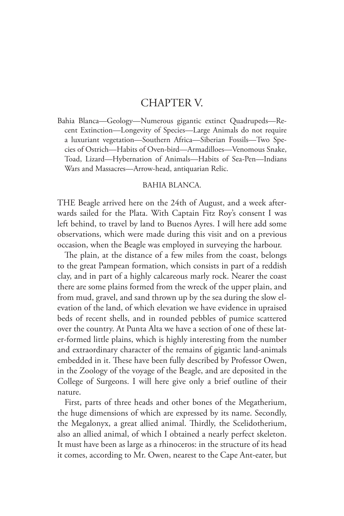## CHAPTER V.

Bahia Blanca—Geology—Numerous gigantic extinct Quadrupeds—Recent Extinction—Longevity of Species—Large Animals do not require a luxuriant vegetation—Southern Africa—Siberian Fossils—Two Species of Ostrich—Habits of Oven-bird—Armadilloes—Venomous Snake, Toad, Lizard—Hybernation of Animals—Habits of Sea-Pen—Indians Wars and Massacres—Arrow-head, antiquarian Relic.

## BAHIA BLANCA.

THE Beagle arrived here on the 24th of August, and a week afterwards sailed for the Plata. With Captain Fitz Roy's consent I was left behind, to travel by land to Buenos Ayres. I will here add some observations, which were made during this visit and on a previous occasion, when the Beagle was employed in surveying the harbour.

The plain, at the distance of a few miles from the coast, belongs to the great Pampean formation, which consists in part of a reddish clay, and in part of a highly calcareous marly rock. Nearer the coast there are some plains formed from the wreck of the upper plain, and from mud, gravel, and sand thrown up by the sea during the slow elevation of the land, of which elevation we have evidence in upraised beds of recent shells, and in rounded pebbles of pumice scattered over the country. At Punta Alta we have a section of one of these later-formed little plains, which is highly interesting from the number and extraordinary character of the remains of gigantic land-animals embedded in it. These have been fully described by Professor Owen, in the Zoology of the voyage of the Beagle, and are deposited in the College of Surgeons. I will here give only a brief outline of their nature.

First, parts of three heads and other bones of the Megatherium, the huge dimensions of which are expressed by its name. Secondly, the Megalonyx, a great allied animal. Thirdly, the Scelidotherium, also an allied animal, of which I obtained a nearly perfect skeleton. It must have been as large as a rhinoceros: in the structure of its head it comes, according to Mr. Owen, nearest to the Cape Ant-eater, but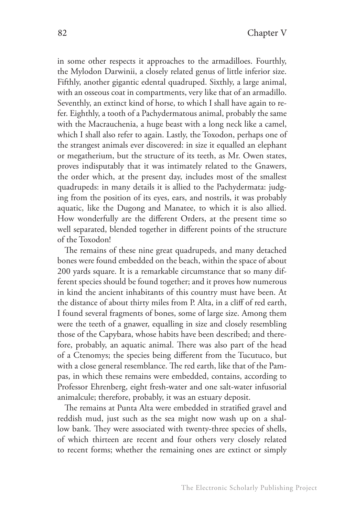in some other respects it approaches to the armadilloes. Fourthly, the Mylodon Darwinii, a closely related genus of little inferior size. Fifthly, another gigantic edental quadruped. Sixthly, a large animal, with an osseous coat in compartments, very like that of an armadillo. Seventhly, an extinct kind of horse, to which I shall have again to refer. Eighthly, a tooth of a Pachydermatous animal, probably the same with the Macrauchenia, a huge beast with a long neck like a camel, which I shall also refer to again. Lastly, the Toxodon, perhaps one of the strangest animals ever discovered: in size it equalled an elephant or megatherium, but the structure of its teeth, as Mr. Owen states, proves indisputably that it was intimately related to the Gnawers, the order which, at the present day, includes most of the smallest quadrupeds: in many details it is allied to the Pachydermata: judging from the position of its eyes, ears, and nostrils, it was probably aquatic, like the Dugong and Manatee, to which it is also allied. How wonderfully are the different Orders, at the present time so well separated, blended together in different points of the structure of the Toxodon!

The remains of these nine great quadrupeds, and many detached bones were found embedded on the beach, within the space of about 200 yards square. It is a remarkable circumstance that so many different species should be found together; and it proves how numerous in kind the ancient inhabitants of this country must have been. At the distance of about thirty miles from P. Alta, in a cliff of red earth, I found several fragments of bones, some of large size. Among them were the teeth of a gnawer, equalling in size and closely resembling those of the Capybara, whose habits have been described; and therefore, probably, an aquatic animal. There was also part of the head of a Ctenomys; the species being different from the Tucutuco, but with a close general resemblance. The red earth, like that of the Pampas, in which these remains were embedded, contains, according to Professor Ehrenberg, eight fresh-water and one salt-water infusorial animalcule; therefore, probably, it was an estuary deposit.

The remains at Punta Alta were embedded in stratified gravel and reddish mud, just such as the sea might now wash up on a shallow bank. They were associated with twenty-three species of shells, of which thirteen are recent and four others very closely related to recent forms; whether the remaining ones are extinct or simply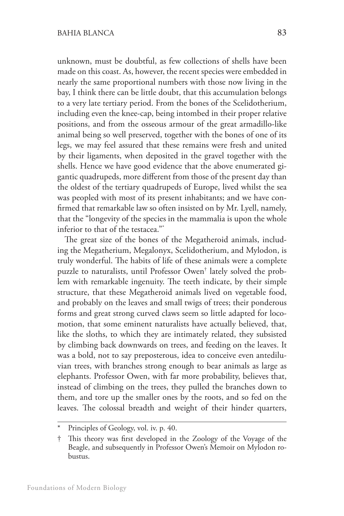unknown, must be doubtful, as few collections of shells have been made on this coast. As, however, the recent species were embedded in nearly the same proportional numbers with those now living in the bay, I think there can be little doubt, that this accumulation belongs to a very late tertiary period. From the bones of the Scelidotherium, including even the knee-cap, being intombed in their proper relative positions, and from the osseous armour of the great armadillo-like animal being so well preserved, together with the bones of one of its legs, we may feel assured that these remains were fresh and united by their ligaments, when deposited in the gravel together with the shells. Hence we have good evidence that the above enumerated gigantic quadrupeds, more different from those of the present day than the oldest of the tertiary quadrupeds of Europe, lived whilst the sea was peopled with most of its present inhabitants; and we have confirmed that remarkable law so often insisted on by Mr. Lyell, namely, that the "longevity of the species in the mammalia is upon the whole inferior to that of the testacea."\*

The great size of the bones of the Megatheroid animals, including the Megatherium, Megalonyx, Scelidotherium, and Mylodon, is truly wonderful. The habits of life of these animals were a complete puzzle to naturalists, until Professor Owen† lately solved the problem with remarkable ingenuity. The teeth indicate, by their simple structure, that these Megatheroid animals lived on vegetable food, and probably on the leaves and small twigs of trees; their ponderous forms and great strong curved claws seem so little adapted for locomotion, that some eminent naturalists have actually believed, that, like the sloths, to which they are intimately related, they subsisted by climbing back downwards on trees, and feeding on the leaves. It was a bold, not to say preposterous, idea to conceive even antediluvian trees, with branches strong enough to bear animals as large as elephants. Professor Owen, with far more probability, believes that, instead of climbing on the trees, they pulled the branches down to them, and tore up the smaller ones by the roots, and so fed on the leaves. The colossal breadth and weight of their hinder quarters,

Principles of Geology, vol. iv. p. 40.

<sup>†</sup> This theory was first developed in the Zoology of the Voyage of the Beagle, and subsequently in Professor Owen's Memoir on Mylodon robustus.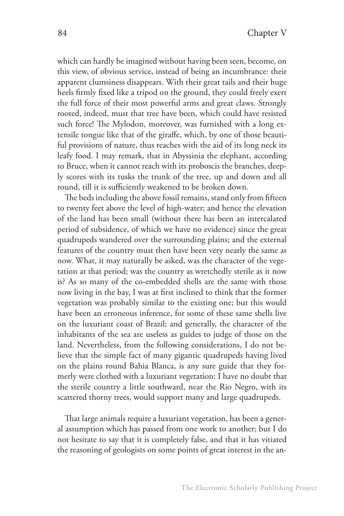which can hardly be imagined without having been seen, become, on this view, of obvious service, instead of being an incumbrance: their apparent clumsiness disappears. With their great tails and their huge heels firmly fixed like a tripod on the ground, they could freely exert the full force of their most powerful arms and great claws. Strongly rooted, indeed, must that tree have been, which could have resisted such force! The Mylodon, moreover, was furnished with a long extensile tongue like that of the giraffe, which, by one of those beautiful provisions of nature, thus reaches with the aid of its long neck its leafy food. I may remark, that in Abyssinia the elephant, according to Bruce, when it cannot reach with its proboscis the branches, deeply scores with its tusks the trunk of the tree, up and down and all round, till it is sufficiently weakened to be broken down.

The beds including the above fossil remains, stand only from fifteen to twenty feet above the level of high-water; and hence the elevation of the land has been small (without there has been an intercalated period of subsidence, of which we have no evidence) since the great quadrupeds wandered over the surrounding plains; and the external features of the country must then have been very nearly the same as now. What, it may naturally be asked, was the character of the vegetation at that period; was the country as wretchedly sterile as it now is? As so many of the co-embedded shells are the same with those now living in the bay, I was at first inclined to think that the former vegetation was probably similar to the existing one; but this would have been an erroneous inference, for some of these same shells live on the luxuriant coast of Brazil; and generally, the character of the inhabitants of the sea are useless as guides to judge of those on the land. Nevertheless, from the following considerations, I do not believe that the simple fact of many gigantic quadrupeds having lived on the plains round Bahia Blanca, is any sure guide that they formerly were clothed with a luxuriant vegetation: I have no doubt that the sterile country a little southward, near the Rio Negro, with its scattered thorny trees, would support many and large quadrupeds.

That large animals require a luxuriant vegetation, has been a general assumption which has passed from one work to another; but I do not hesitate to say that it is completely false, and that it has vitiated the reasoning of geologists on some points of great interest in the an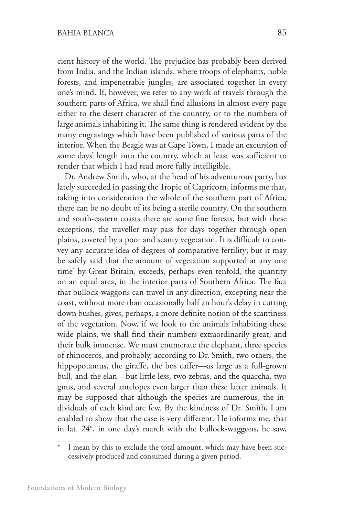cient history of the world. The prejudice has probably been derived from India, and the Indian islands, where troops of elephants, noble forests, and impenetrable jungles, are associated together in every one's mind. If, however, we refer to any work of travels through the southern parts of Africa, we shall find allusions in almost every page either to the desert character of the country, or to the numbers of large animals inhabiting it. The same thing is rendered evident by the many engravings which have been published of various parts of the interior. When the Beagle was at Cape Town, I made an excursion of some days' length into the country, which at least was sufficient to render that which I had read more fully intelligible.

Dr. Andrew Smith, who, at the head of his adventurous party, has lately succeeded in passing the Tropic of Capricorn, informs me that, taking into consideration the whole of the southern part of Africa, there can be no doubt of its being a sterile country. On the southern and south-eastern coasts there are some fine forests, but with these exceptions, the traveller may pass for days together through open plains, covered by a poor and scanty vegetation. It is difficult to convey any accurate idea of degrees of comparative fertility; but it may be safely said that the amount of vegetation supported at any one time\* by Great Britain, exceeds, perhaps even tenfold, the quantity on an equal area, in the interior parts of Southern Africa. The fact that bullock-waggons can travel in any direction, excepting near the coast, without more than occasionally half an hour's delay in cutting down bushes, gives, perhaps, a more definite notion of the scantiness of the vegetation. Now, if we look to the animals inhabiting these wide plains, we shall find their numbers extraordinarily great, and their bulk immense. We must enumerate the elephant, three species of rhinoceros, and probably, according to Dr. Smith, two others, the hippopotamus, the giraffe, the bos caffer—as large as a full-grown bull, and the elan—but little less, two zebras, and the quaccha, two gnus, and several antelopes even larger than these latter animals. It may be supposed that although the species are numerous, the individuals of each kind are few. By the kindness of Dr. Smith, I am enabled to show that the case is very different. He informs me, that in lat. 24°, in one day's march with the bullock-waggons, he saw,

I mean by this to exclude the total amount, which may have been successively produced and consumed during a given period.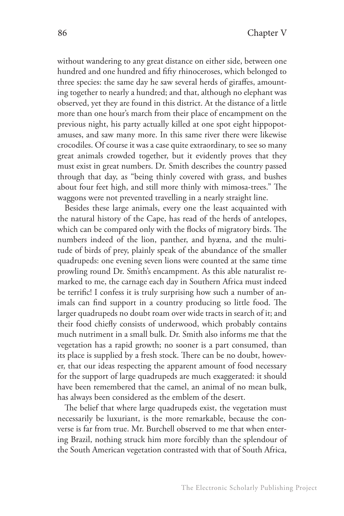without wandering to any great distance on either side, between one hundred and one hundred and fifty rhinoceroses, which belonged to three species: the same day he saw several herds of giraffes, amounting together to nearly a hundred; and that, although no elephant was observed, yet they are found in this district. At the distance of a little more than one hour's march from their place of encampment on the previous night, his party actually killed at one spot eight hippopotamuses, and saw many more. In this same river there were likewise crocodiles. Of course it was a case quite extraordinary, to see so many great animals crowded together, but it evidently proves that they must exist in great numbers. Dr. Smith describes the country passed through that day, as "being thinly covered with grass, and bushes about four feet high, and still more thinly with mimosa-trees." The waggons were not prevented travelling in a nearly straight line.

Besides these large animals, every one the least acquainted with the natural history of the Cape, has read of the herds of antelopes, which can be compared only with the flocks of migratory birds. The numbers indeed of the lion, panther, and hyæna, and the multitude of birds of prey, plainly speak of the abundance of the smaller quadrupeds: one evening seven lions were counted at the same time prowling round Dr. Smith's encampment. As this able naturalist remarked to me, the carnage each day in Southern Africa must indeed be terrific! I confess it is truly surprising how such a number of animals can find support in a country producing so little food. The larger quadrupeds no doubt roam over wide tracts in search of it; and their food chiefly consists of underwood, which probably contains much nutriment in a small bulk. Dr. Smith also informs me that the vegetation has a rapid growth; no sooner is a part consumed, than its place is supplied by a fresh stock. There can be no doubt, however, that our ideas respecting the apparent amount of food necessary for the support of large quadrupeds are much exaggerated: it should have been remembered that the camel, an animal of no mean bulk, has always been considered as the emblem of the desert.

The belief that where large quadrupeds exist, the vegetation must necessarily be luxuriant, is the more remarkable, because the converse is far from true. Mr. Burchell observed to me that when entering Brazil, nothing struck him more forcibly than the splendour of the South American vegetation contrasted with that of South Africa,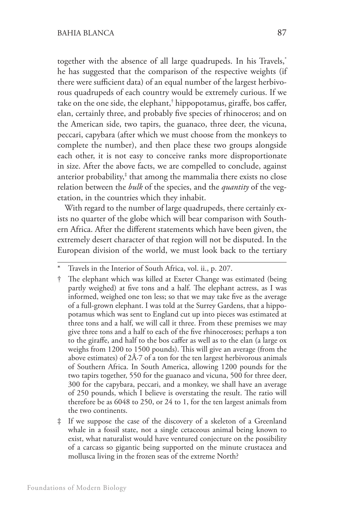together with the absence of all large quadrupeds. In his Travels,\* he has suggested that the comparison of the respective weights (if there were sufficient data) of an equal number of the largest herbivorous quadrupeds of each country would be extremely curious. If we take on the one side, the elephant,† hippopotamus, giraffe, bos caffer, elan, certainly three, and probably five species of rhinoceros; and on the American side, two tapirs, the guanaco, three deer, the vicuna, peccari, capybara (after which we must choose from the monkeys to complete the number), and then place these two groups alongside each other, it is not easy to conceive ranks more disproportionate in size. After the above facts, we are compelled to conclude, against anterior probability,‡ that among the mammalia there exists no close relation between the *bulk* of the species, and the *quantity* of the vegetation, in the countries which they inhabit.

With regard to the number of large quadrupeds, there certainly exists no quarter of the globe which will bear comparison with Southern Africa. After the different statements which have been given, the extremely desert character of that region will not be disputed. In the European division of the world, we must look back to the tertiary

Travels in the Interior of South Africa, vol. ii., p. 207.

<sup>†</sup> The elephant which was killed at Exeter Change was estimated (being partly weighed) at five tons and a half. The elephant actress, as I was informed, weighed one ton less; so that we may take five as the average of a full-grown elephant. I was told at the Surrey Gardens, that a hippopotamus which was sent to England cut up into pieces was estimated at three tons and a half, we will call it three. From these premises we may give three tons and a half to each of the five rhinoceroses; perhaps a ton to the giraffe, and half to the bos caffer as well as to the elan (a large ox weighs from 1200 to 1500 pounds). This will give an average (from the above estimates) of  $2\text{\AA}$ -7 of a ton for the ten largest herbivorous animals of Southern Africa. In South America, allowing 1200 pounds for the two tapirs together, 550 for the guanaco and vicuna, 500 for three deer, 300 for the capybara, peccari, and a monkey, we shall have an average of 250 pounds, which I believe is overstating the result. The ratio will therefore be as 6048 to 250, or 24 to 1, for the ten largest animals from the two continents.

If we suppose the case of the discovery of a skeleton of a Greenland whale in a fossil state, not a single cetaceous animal being known to exist, what naturalist would have ventured conjecture on the possibility of a carcass so gigantic being supported on the minute crustacea and mollusca living in the frozen seas of the extreme North?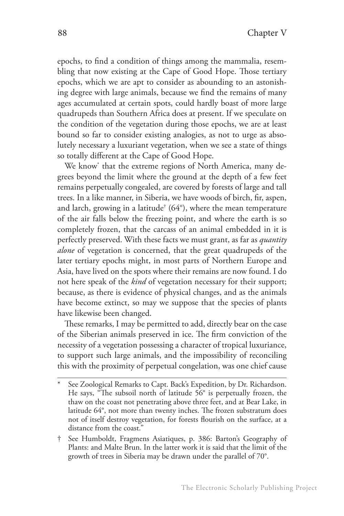epochs, to find a condition of things among the mammalia, resembling that now existing at the Cape of Good Hope. Those tertiary epochs, which we are apt to consider as abounding to an astonishing degree with large animals, because we find the remains of many ages accumulated at certain spots, could hardly boast of more large quadrupeds than Southern Africa does at present. If we speculate on the condition of the vegetation during those epochs, we are at least bound so far to consider existing analogies, as not to urge as absolutely necessary a luxuriant vegetation, when we see a state of things so totally different at the Cape of Good Hope.

We know\* that the extreme regions of North America, many degrees beyond the limit where the ground at the depth of a few feet remains perpetually congealed, are covered by forests of large and tall trees. In a like manner, in Siberia, we have woods of birch, fir, aspen, and larch, growing in a latitude $^{\dagger}$  (64°), where the mean temperature of the air falls below the freezing point, and where the earth is so completely frozen, that the carcass of an animal embedded in it is perfectly preserved. With these facts we must grant, as far as *quantity alone* of vegetation is concerned, that the great quadrupeds of the later tertiary epochs might, in most parts of Northern Europe and Asia, have lived on the spots where their remains are now found. I do not here speak of the *kind* of vegetation necessary for their support; because, as there is evidence of physical changes, and as the animals have become extinct, so may we suppose that the species of plants have likewise been changed.

These remarks, I may be permitted to add, directly bear on the case of the Siberian animals preserved in ice. The firm conviction of the necessity of a vegetation possessing a character of tropical luxuriance, to support such large animals, and the impossibility of reconciling this with the proximity of perpetual congelation, was one chief cause

See Zoological Remarks to Capt. Back's Expedition, by Dr. Richardson. He says, "The subsoil north of latitude 56° is perpetually frozen, the thaw on the coast not penetrating above three feet, and at Bear Lake, in latitude 64°, not more than twenty inches. The frozen substratum does not of itself destroy vegetation, for forests flourish on the surface, at a distance from the coast."

<sup>†</sup> See Humboldt, Fragmens Asiatiques, p. 386: Barton's Geography of Plants: and Malte Brun. In the latter work it is said that the limit of the growth of trees in Siberia may be drawn under the parallel of 70°.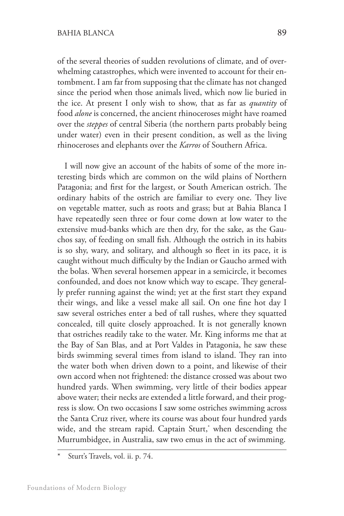of the several theories of sudden revolutions of climate, and of overwhelming catastrophes, which were invented to account for their entombment. I am far from supposing that the climate has not changed since the period when those animals lived, which now lie buried in the ice. At present I only wish to show, that as far as *quantity* of food *alone* is concerned, the ancient rhinoceroses might have roamed over the *steppes* of central Siberia (the northern parts probably being under water) even in their present condition, as well as the living rhinoceroses and elephants over the *Karros* of Southern Africa.

I will now give an account of the habits of some of the more interesting birds which are common on the wild plains of Northern Patagonia; and first for the largest, or South American ostrich. The ordinary habits of the ostrich are familiar to every one. They live on vegetable matter, such as roots and grass; but at Bahia Blanca I have repeatedly seen three or four come down at low water to the extensive mud-banks which are then dry, for the sake, as the Gauchos say, of feeding on small fish. Although the ostrich in its habits is so shy, wary, and solitary, and although so fleet in its pace, it is caught without much difficulty by the Indian or Gaucho armed with the bolas. When several horsemen appear in a semicircle, it becomes confounded, and does not know which way to escape. They generally prefer running against the wind; yet at the first start they expand their wings, and like a vessel make all sail. On one fine hot day I saw several ostriches enter a bed of tall rushes, where they squatted concealed, till quite closely approached. It is not generally known that ostriches readily take to the water. Mr. King informs me that at the Bay of San Blas, and at Port Valdes in Patagonia, he saw these birds swimming several times from island to island. They ran into the water both when driven down to a point, and likewise of their own accord when not frightened: the distance crossed was about two hundred yards. When swimming, very little of their bodies appear above water; their necks are extended a little forward, and their progress is slow. On two occasions I saw some ostriches swimming across the Santa Cruz river, where its course was about four hundred yards wide, and the stream rapid. Captain Sturt,\* when descending the Murrumbidgee, in Australia, saw two emus in the act of swimming.

Sturt's Travels, vol. ii. p. 74.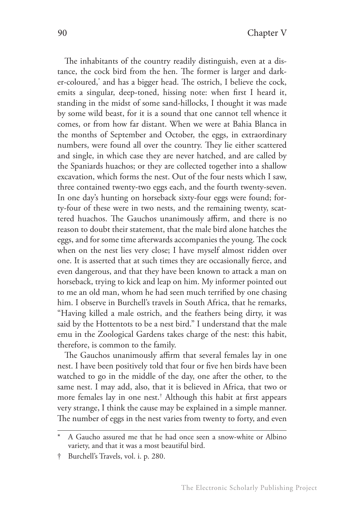The inhabitants of the country readily distinguish, even at a distance, the cock bird from the hen. The former is larger and darker-coloured,\* and has a bigger head. The ostrich, I believe the cock, emits a singular, deep-toned, hissing note: when first I heard it, standing in the midst of some sand-hillocks, I thought it was made by some wild beast, for it is a sound that one cannot tell whence it comes, or from how far distant. When we were at Bahia Blanca in the months of September and October, the eggs, in extraordinary numbers, were found all over the country. They lie either scattered and single, in which case they are never hatched, and are called by the Spaniards huachos; or they are collected together into a shallow excavation, which forms the nest. Out of the four nests which I saw, three contained twenty-two eggs each, and the fourth twenty-seven. In one day's hunting on horseback sixty-four eggs were found; forty-four of these were in two nests, and the remaining twenty, scattered huachos. The Gauchos unanimously affirm, and there is no reason to doubt their statement, that the male bird alone hatches the eggs, and for some time afterwards accompanies the young. The cock when on the nest lies very close; I have myself almost ridden over one. It is asserted that at such times they are occasionally fierce, and even dangerous, and that they have been known to attack a man on horseback, trying to kick and leap on him. My informer pointed out to me an old man, whom he had seen much terrified by one chasing him. I observe in Burchell's travels in South Africa, that he remarks, "Having killed a male ostrich, and the feathers being dirty, it was said by the Hottentots to be a nest bird." I understand that the male emu in the Zoological Gardens takes charge of the nest: this habit, therefore, is common to the family.

The Gauchos unanimously affirm that several females lay in one nest. I have been positively told that four or five hen birds have been watched to go in the middle of the day, one after the other, to the same nest. I may add, also, that it is believed in Africa, that two or more females lay in one nest.† Although this habit at first appears very strange, I think the cause may be explained in a simple manner. The number of eggs in the nest varies from twenty to forty, and even

A Gaucho assured me that he had once seen a snow-white or Albino variety, and that it was a most beautiful bird.

<sup>†</sup> Burchell's Travels, vol. i. p. 280.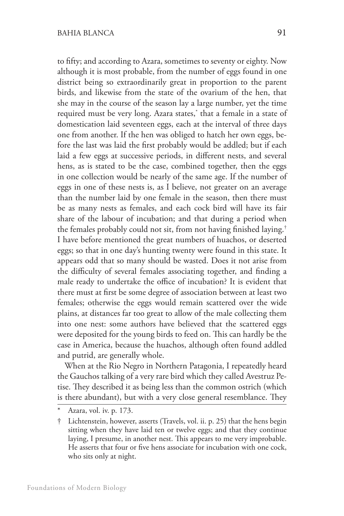to fifty; and according to Azara, sometimes to seventy or eighty. Now although it is most probable, from the number of eggs found in one district being so extraordinarily great in proportion to the parent birds, and likewise from the state of the ovarium of the hen, that she may in the course of the season lay a large number, yet the time required must be very long. Azara states,\* that a female in a state of domestication laid seventeen eggs, each at the interval of three days one from another. If the hen was obliged to hatch her own eggs, before the last was laid the first probably would be addled; but if each laid a few eggs at successive periods, in different nests, and several hens, as is stated to be the case, combined together, then the eggs in one collection would be nearly of the same age. If the number of eggs in one of these nests is, as I believe, not greater on an average than the number laid by one female in the season, then there must be as many nests as females, and each cock bird will have its fair share of the labour of incubation; and that during a period when the females probably could not sit, from not having finished laying.† I have before mentioned the great numbers of huachos, or deserted eggs; so that in one day's hunting twenty were found in this state. It appears odd that so many should be wasted. Does it not arise from the difficulty of several females associating together, and finding a male ready to undertake the office of incubation? It is evident that there must at first be some degree of association between at least two females; otherwise the eggs would remain scattered over the wide plains, at distances far too great to allow of the male collecting them into one nest: some authors have believed that the scattered eggs were deposited for the young birds to feed on. This can hardly be the case in America, because the huachos, although often found addled and putrid, are generally whole.

When at the Rio Negro in Northern Patagonia, I repeatedly heard the Gauchos talking of a very rare bird which they called Avestruz Petise. They described it as being less than the common ostrich (which is there abundant), but with a very close general resemblance. They

Azara, vol. iv. p. 173.

<sup>†</sup> Lichtenstein, however, asserts (Travels, vol. ii. p. 25) that the hens begin sitting when they have laid ten or twelve eggs; and that they continue laying, I presume, in another nest. This appears to me very improbable. He asserts that four or five hens associate for incubation with one cock, who sits only at night.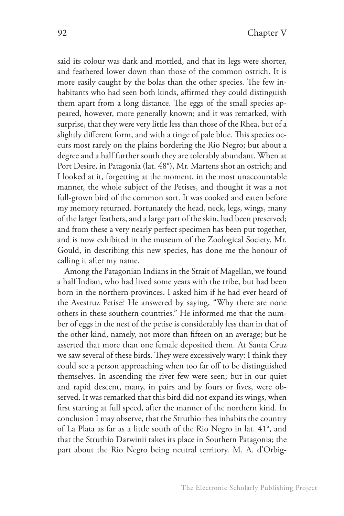said its colour was dark and mottled, and that its legs were shorter, and feathered lower down than those of the common ostrich. It is more easily caught by the bolas than the other species. The few inhabitants who had seen both kinds, affirmed they could distinguish them apart from a long distance. The eggs of the small species appeared, however, more generally known; and it was remarked, with surprise, that they were very little less than those of the Rhea, but of a slightly different form, and with a tinge of pale blue. This species occurs most rarely on the plains bordering the Rio Negro; but about a degree and a half further south they are tolerably abundant. When at Port Desire, in Patagonia (lat. 48°), Mr. Martens shot an ostrich; and I looked at it, forgetting at the moment, in the most unaccountable manner, the whole subject of the Petises, and thought it was a not full-grown bird of the common sort. It was cooked and eaten before my memory returned. Fortunately the head, neck, legs, wings, many of the larger feathers, and a large part of the skin, had been preserved; and from these a very nearly perfect specimen has been put together, and is now exhibited in the museum of the Zoological Society. Mr. Gould, in describing this new species, has done me the honour of calling it after my name.

Among the Patagonian Indians in the Strait of Magellan, we found a half Indian, who had lived some years with the tribe, but had been born in the northern provinces. I asked him if he had ever heard of the Avestruz Petise? He answered by saying, "Why there are none others in these southern countries." He informed me that the number of eggs in the nest of the petise is considerably less than in that of the other kind, namely, not more than fifteen on an average; but he asserted that more than one female deposited them. At Santa Cruz we saw several of these birds. They were excessively wary: I think they could see a person approaching when too far off to be distinguished themselves. In ascending the river few were seen; but in our quiet and rapid descent, many, in pairs and by fours or fives, were observed. It was remarked that this bird did not expand its wings, when first starting at full speed, after the manner of the northern kind. In conclusion I may observe, that the Struthio rhea inhabits the country of La Plata as far as a little south of the Rio Negro in lat. 41°, and that the Struthio Darwinii takes its place in Southern Patagonia; the part about the Rio Negro being neutral territory. M. A. d'Orbig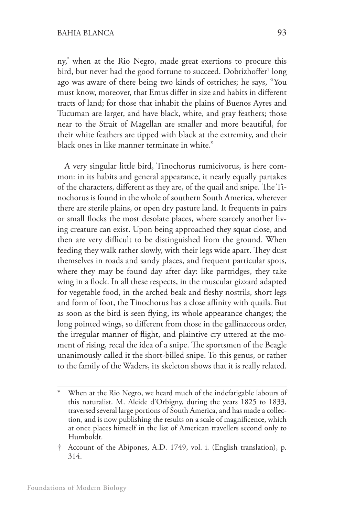ny,\* when at the Rio Negro, made great exertions to procure this bird, but never had the good fortune to succeed. Dobrizhoffer† long ago was aware of there being two kinds of ostriches; he says, "You must know, moreover, that Emus differ in size and habits in different tracts of land; for those that inhabit the plains of Buenos Ayres and Tucuman are larger, and have black, white, and gray feathers; those near to the Strait of Magellan are smaller and more beautiful, for their white feathers are tipped with black at the extremity, and their black ones in like manner terminate in white."

A very singular little bird, Tinochorus rumicivorus, is here common: in its habits and general appearance, it nearly equally partakes of the characters, different as they are, of the quail and snipe. The Tinochorus is found in the whole of southern South America, wherever there are sterile plains, or open dry pasture land. It frequents in pairs or small flocks the most desolate places, where scarcely another living creature can exist. Upon being approached they squat close, and then are very difficult to be distinguished from the ground. When feeding they walk rather slowly, with their legs wide apart. They dust themselves in roads and sandy places, and frequent particular spots, where they may be found day after day: like partridges, they take wing in a flock. In all these respects, in the muscular gizzard adapted for vegetable food, in the arched beak and fleshy nostrils, short legs and form of foot, the Tinochorus has a close affinity with quails. But as soon as the bird is seen flying, its whole appearance changes; the long pointed wings, so different from those in the gallinaceous order, the irregular manner of flight, and plaintive cry uttered at the moment of rising, recal the idea of a snipe. The sportsmen of the Beagle unanimously called it the short-billed snipe. To this genus, or rather to the family of the Waders, its skeleton shows that it is really related.

When at the Rio Negro, we heard much of the indefatigable labours of this naturalist. M. Alcide d'Orbigny, during the years 1825 to 1833, traversed several large portions of South America, and has made a collection, and is now publishing the results on a scale of magnificence, which at once places himself in the list of American travellers second only to Humboldt.

<sup>†</sup> Account of the Abipones, A.D. 1749, vol. i. (English translation), p. 314.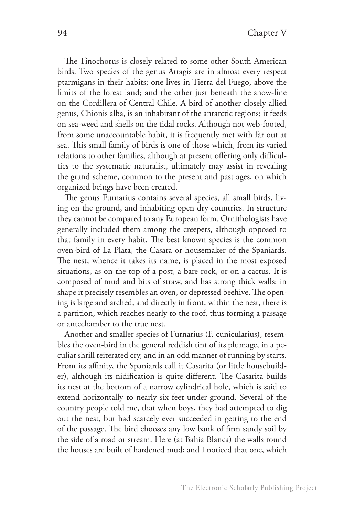The Tinochorus is closely related to some other South American birds. Two species of the genus Attagis are in almost every respect ptarmigans in their habits; one lives in Tierra del Fuego, above the limits of the forest land; and the other just beneath the snow-line on the Cordillera of Central Chile. A bird of another closely allied genus, Chionis alba, is an inhabitant of the antarctic regions; it feeds on sea-weed and shells on the tidal rocks. Although not web-footed, from some unaccountable habit, it is frequently met with far out at sea. This small family of birds is one of those which, from its varied relations to other families, although at present offering only difficulties to the systematic naturalist, ultimately may assist in revealing the grand scheme, common to the present and past ages, on which organized beings have been created.

The genus Furnarius contains several species, all small birds, living on the ground, and inhabiting open dry countries. In structure they cannot be compared to any European form. Ornithologists have generally included them among the creepers, although opposed to that family in every habit. The best known species is the common oven-bird of La Plata, the Casara or housemaker of the Spaniards. The nest, whence it takes its name, is placed in the most exposed situations, as on the top of a post, a bare rock, or on a cactus. It is composed of mud and bits of straw, and has strong thick walls: in shape it precisely resembles an oven, or depressed beehive. The opening is large and arched, and directly in front, within the nest, there is a partition, which reaches nearly to the roof, thus forming a passage or antechamber to the true nest.

Another and smaller species of Furnarius (F. cunicularius), resembles the oven-bird in the general reddish tint of its plumage, in a peculiar shrill reiterated cry, and in an odd manner of running by starts. From its affinity, the Spaniards call it Casarita (or little housebuilder), although its nidification is quite different. The Casarita builds its nest at the bottom of a narrow cylindrical hole, which is said to extend horizontally to nearly six feet under ground. Several of the country people told me, that when boys, they had attempted to dig out the nest, but had scarcely ever succeeded in getting to the end of the passage. The bird chooses any low bank of firm sandy soil by the side of a road or stream. Here (at Bahia Blanca) the walls round the houses are built of hardened mud; and I noticed that one, which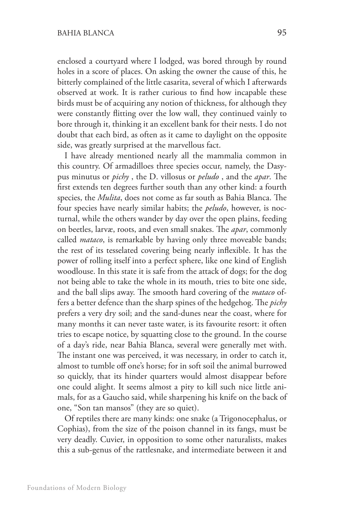enclosed a courtyard where I lodged, was bored through by round holes in a score of places. On asking the owner the cause of this, he bitterly complained of the little casarita, several of which I afterwards observed at work. It is rather curious to find how incapable these birds must be of acquiring any notion of thickness, for although they were constantly flitting over the low wall, they continued vainly to bore through it, thinking it an excellent bank for their nests. I do not doubt that each bird, as often as it came to daylight on the opposite side, was greatly surprised at the marvellous fact.

I have already mentioned nearly all the mammalia common in this country. Of armadilloes three species occur, namely, the Dasypus minutus or *pichy* , the D. villosus or *peludo* , and the *apar*. The first extends ten degrees further south than any other kind: a fourth species, the *Mulita*, does not come as far south as Bahia Blanca. The four species have nearly similar habits; the *peludo*, however, is nocturnal, while the others wander by day over the open plains, feeding on beetles, larvæ, roots, and even small snakes. The *apar*, commonly called *mataco*, is remarkable by having only three moveable bands; the rest of its tesselated covering being nearly inflexible. It has the power of rolling itself into a perfect sphere, like one kind of English woodlouse. In this state it is safe from the attack of dogs; for the dog not being able to take the whole in its mouth, tries to bite one side, and the ball slips away. The smooth hard covering of the *mataco* offers a better defence than the sharp spines of the hedgehog. The *pichy*  prefers a very dry soil; and the sand-dunes near the coast, where for many months it can never taste water, is its favourite resort: it often tries to escape notice, by squatting close to the ground. In the course of a day's ride, near Bahia Blanca, several were generally met with. The instant one was perceived, it was necessary, in order to catch it, almost to tumble off one's horse; for in soft soil the animal burrowed so quickly, that its hinder quarters would almost disappear before one could alight. It seems almost a pity to kill such nice little animals, for as a Gaucho said, while sharpening his knife on the back of one, "Son tan mansos" (they are so quiet).

Of reptiles there are many kinds: one snake (a Trigonocephalus, or Cophias), from the size of the poison channel in its fangs, must be very deadly. Cuvier, in opposition to some other naturalists, makes this a sub-genus of the rattlesnake, and intermediate between it and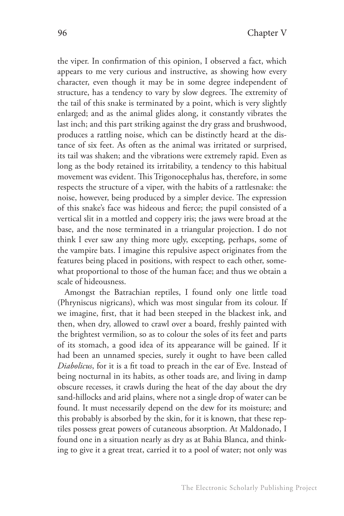the viper. In confirmation of this opinion, I observed a fact, which appears to me very curious and instructive, as showing how every character, even though it may be in some degree independent of structure, has a tendency to vary by slow degrees. The extremity of the tail of this snake is terminated by a point, which is very slightly enlarged; and as the animal glides along, it constantly vibrates the last inch; and this part striking against the dry grass and brushwood, produces a rattling noise, which can be distinctly heard at the distance of six feet. As often as the animal was irritated or surprised, its tail was shaken; and the vibrations were extremely rapid. Even as long as the body retained its irritability, a tendency to this habitual movement was evident. This Trigonocephalus has, therefore, in some respects the structure of a viper, with the habits of a rattlesnake: the noise, however, being produced by a simpler device. The expression of this snake's face was hideous and fierce; the pupil consisted of a vertical slit in a mottled and coppery iris; the jaws were broad at the base, and the nose terminated in a triangular projection. I do not think I ever saw any thing more ugly, excepting, perhaps, some of the vampire bats. I imagine this repulsive aspect originates from the features being placed in positions, with respect to each other, somewhat proportional to those of the human face; and thus we obtain a scale of hideousness.

Amongst the Batrachian reptiles, I found only one little toad (Phryniscus nigricans), which was most singular from its colour. If we imagine, first, that it had been steeped in the blackest ink, and then, when dry, allowed to crawl over a board, freshly painted with the brightest vermilion, so as to colour the soles of its feet and parts of its stomach, a good idea of its appearance will be gained. If it had been an unnamed species, surely it ought to have been called *Diabolicus*, for it is a fit toad to preach in the ear of Eve. Instead of being nocturnal in its habits, as other toads are, and living in damp obscure recesses, it crawls during the heat of the day about the dry sand-hillocks and arid plains, where not a single drop of water can be found. It must necessarily depend on the dew for its moisture; and this probably is absorbed by the skin, for it is known, that these reptiles possess great powers of cutaneous absorption. At Maldonado, I found one in a situation nearly as dry as at Bahia Blanca, and thinking to give it a great treat, carried it to a pool of water; not only was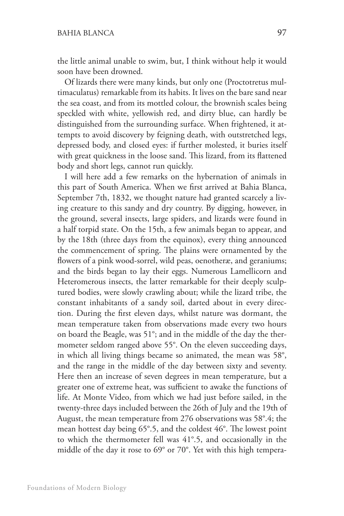the little animal unable to swim, but, I think without help it would soon have been drowned.

Of lizards there were many kinds, but only one (Proctotretus multimaculatus) remarkable from its habits. It lives on the bare sand near the sea coast, and from its mottled colour, the brownish scales being speckled with white, yellowish red, and dirty blue, can hardly be distinguished from the surrounding surface. When frightened, it attempts to avoid discovery by feigning death, with outstretched legs, depressed body, and closed eyes: if further molested, it buries itself with great quickness in the loose sand. This lizard, from its flattened body and short legs, cannot run quickly.

I will here add a few remarks on the hybernation of animals in this part of South America. When we first arrived at Bahia Blanca, September 7th, 1832, we thought nature had granted scarcely a living creature to this sandy and dry country. By digging, however, in the ground, several insects, large spiders, and lizards were found in a half torpid state. On the 15th, a few animals began to appear, and by the 18th (three days from the equinox), every thing announced the commencement of spring. The plains were ornamented by the flowers of a pink wood-sorrel, wild peas, oenotheræ, and geraniums; and the birds began to lay their eggs. Numerous Lamellicorn and Heteromerous insects, the latter remarkable for their deeply sculptured bodies, were slowly crawling about; while the lizard tribe, the constant inhabitants of a sandy soil, darted about in every direction. During the first eleven days, whilst nature was dormant, the mean temperature taken from observations made every two hours on board the Beagle, was 51°; and in the middle of the day the thermometer seldom ranged above 55°. On the eleven succeeding days, in which all living things became so animated, the mean was 58°, and the range in the middle of the day between sixty and seventy. Here then an increase of seven degrees in mean temperature, but a greater one of extreme heat, was sufficient to awake the functions of life. At Monte Video, from which we had just before sailed, in the twenty-three days included between the 26th of July and the 19th of August, the mean temperature from 276 observations was 58°.4; the mean hottest day being 65°.5, and the coldest 46°. The lowest point to which the thermometer fell was 41°.5, and occasionally in the middle of the day it rose to 69° or 70°. Yet with this high tempera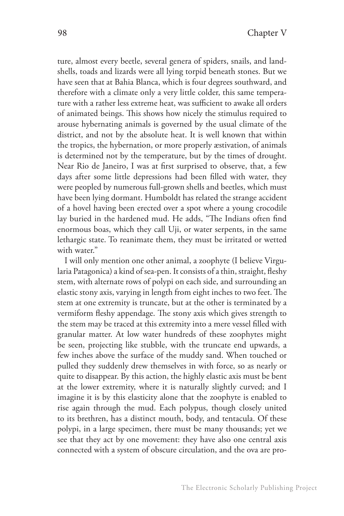ture, almost every beetle, several genera of spiders, snails, and landshells, toads and lizards were all lying torpid beneath stones. But we have seen that at Bahia Blanca, which is four degrees southward, and therefore with a climate only a very little colder, this same temperature with a rather less extreme heat, was sufficient to awake all orders of animated beings. This shows how nicely the stimulus required to arouse hybernating animals is governed by the usual climate of the district, and not by the absolute heat. It is well known that within the tropics, the hybernation, or more properly æstivation, of animals is determined not by the temperature, but by the times of drought. Near Rio de Janeiro, I was at first surprised to observe, that, a few days after some little depressions had been filled with water, they were peopled by numerous full-grown shells and beetles, which must have been lying dormant. Humboldt has related the strange accident of a hovel having been erected over a spot where a young crocodile lay buried in the hardened mud. He adds, "The Indians often find enormous boas, which they call Uji, or water serpents, in the same lethargic state. To reanimate them, they must be irritated or wetted with water."

I will only mention one other animal, a zoophyte (I believe Virgularia Patagonica) a kind of sea-pen. It consists of a thin, straight, fleshy stem, with alternate rows of polypi on each side, and surrounding an elastic stony axis, varying in length from eight inches to two feet. The stem at one extremity is truncate, but at the other is terminated by a vermiform fleshy appendage. The stony axis which gives strength to the stem may be traced at this extremity into a mere vessel filled with granular matter. At low water hundreds of these zoophytes might be seen, projecting like stubble, with the truncate end upwards, a few inches above the surface of the muddy sand. When touched or pulled they suddenly drew themselves in with force, so as nearly or quite to disappear. By this action, the highly elastic axis must be bent at the lower extremity, where it is naturally slightly curved; and I imagine it is by this elasticity alone that the zoophyte is enabled to rise again through the mud. Each polypus, though closely united to its brethren, has a distinct mouth, body, and tentacula. Of these polypi, in a large specimen, there must be many thousands; yet we see that they act by one movement: they have also one central axis connected with a system of obscure circulation, and the ova are pro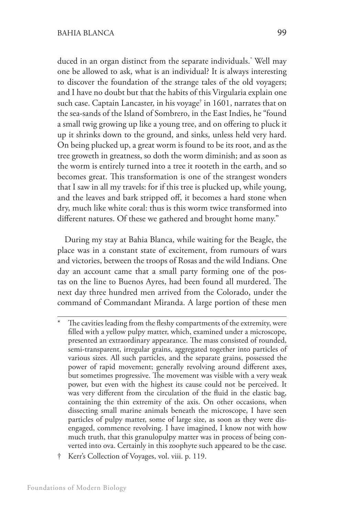duced in an organ distinct from the separate individuals.\* Well may one be allowed to ask, what is an individual? It is always interesting to discover the foundation of the strange tales of the old voyagers; and I have no doubt but that the habits of this Virgularia explain one such case. Captain Lancaster, in his voyage† in 1601, narrates that on the sea-sands of the Island of Sombrero, in the East Indies, he "found a small twig growing up like a young tree, and on offering to pluck it up it shrinks down to the ground, and sinks, unless held very hard. On being plucked up, a great worm is found to be its root, and as the tree groweth in greatness, so doth the worm diminish; and as soon as the worm is entirely turned into a tree it rooteth in the earth, and so becomes great. This transformation is one of the strangest wonders that I saw in all my travels: for if this tree is plucked up, while young, and the leaves and bark stripped off, it becomes a hard stone when dry, much like white coral: thus is this worm twice transformed into different natures. Of these we gathered and brought home many."

During my stay at Bahia Blanca, while waiting for the Beagle, the place was in a constant state of excitement, from rumours of wars and victories, between the troops of Rosas and the wild Indians. One day an account came that a small party forming one of the postas on the line to Buenos Ayres, had been found all murdered. The next day three hundred men arrived from the Colorado, under the command of Commandant Miranda. A large portion of these men

† Kerr's Collection of Voyages, vol. viii. p. 119.

The cavities leading from the fleshy compartments of the extremity, were filled with a yellow pulpy matter, which, examined under a microscope, presented an extraordinary appearance. The mass consisted of rounded, semi-transparent, irregular grains, aggregated together into particles of various sizes. All such particles, and the separate grains, possessed the power of rapid movement; generally revolving around different axes, but sometimes progressive. The movement was visible with a very weak power, but even with the highest its cause could not be perceived. It was very different from the circulation of the fluid in the elastic bag, containing the thin extremity of the axis. On other occasions, when dissecting small marine animals beneath the microscope, I have seen particles of pulpy matter, some of large size, as soon as they were disengaged, commence revolving. I have imagined, I know not with how much truth, that this granulopulpy matter was in process of being converted into ova. Certainly in this zoophyte such appeared to be the case.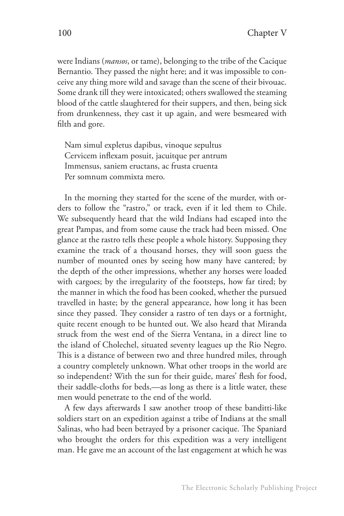were Indians (*mansos*, or tame), belonging to the tribe of the Cacique Bernantio. They passed the night here; and it was impossible to conceive any thing more wild and savage than the scene of their bivouac. Some drank till they were intoxicated; others swallowed the steaming blood of the cattle slaughtered for their suppers, and then, being sick from drunkenness, they cast it up again, and were besmeared with filth and gore.

Nam simul expletus dapibus, vinoque sepultus Cervicem inflexam posuit, jacuitque per antrum Immensus, saniem eructans, ac frusta cruenta Per somnum commixta mero.

In the morning they started for the scene of the murder, with orders to follow the "rastro," or track, even if it led them to Chile. We subsequently heard that the wild Indians had escaped into the great Pampas, and from some cause the track had been missed. One glance at the rastro tells these people a whole history. Supposing they examine the track of a thousand horses, they will soon guess the number of mounted ones by seeing how many have cantered; by the depth of the other impressions, whether any horses were loaded with cargoes; by the irregularity of the footsteps, how far tired; by the manner in which the food has been cooked, whether the pursued travelled in haste; by the general appearance, how long it has been since they passed. They consider a rastro of ten days or a fortnight, quite recent enough to be hunted out. We also heard that Miranda struck from the west end of the Sierra Ventana, in a direct line to the island of Cholechel, situated seventy leagues up the Rio Negro. This is a distance of between two and three hundred miles, through a country completely unknown. What other troops in the world are so independent? With the sun for their guide, mares' flesh for food, their saddle-cloths for beds,—as long as there is a little water, these men would penetrate to the end of the world.

A few days afterwards I saw another troop of these banditti-like soldiers start on an expedition against a tribe of Indians at the small Salinas, who had been betrayed by a prisoner cacique. The Spaniard who brought the orders for this expedition was a very intelligent man. He gave me an account of the last engagement at which he was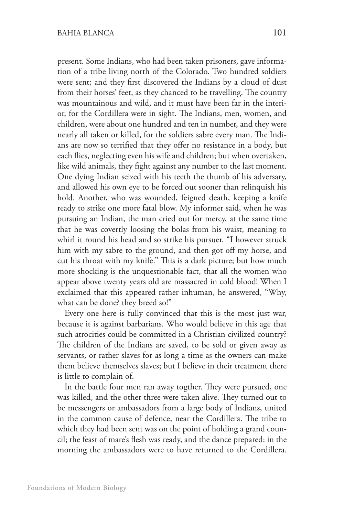present. Some Indians, who had been taken prisoners, gave information of a tribe living north of the Colorado. Two hundred soldiers were sent; and they first discovered the Indians by a cloud of dust from their horses' feet, as they chanced to be travelling. The country was mountainous and wild, and it must have been far in the interior, for the Cordillera were in sight. The Indians, men, women, and children, were about one hundred and ten in number, and they were nearly all taken or killed, for the soldiers sabre every man. The Indians are now so terrified that they offer no resistance in a body, but each flies, neglecting even his wife and children; but when overtaken, like wild animals, they fight against any number to the last moment. One dying Indian seized with his teeth the thumb of his adversary, and allowed his own eye to be forced out sooner than relinquish his hold. Another, who was wounded, feigned death, keeping a knife ready to strike one more fatal blow. My informer said, when he was pursuing an Indian, the man cried out for mercy, at the same time that he was covertly loosing the bolas from his waist, meaning to whirl it round his head and so strike his pursuer. "I however struck him with my sabre to the ground, and then got off my horse, and cut his throat with my knife." This is a dark picture; but how much more shocking is the unquestionable fact, that all the women who appear above twenty years old are massacred in cold blood! When I exclaimed that this appeared rather inhuman, he answered, "Why, what can be done? they breed so!"

Every one here is fully convinced that this is the most just war, because it is against barbarians. Who would believe in this age that such atrocities could be committed in a Christian civilized country? The children of the Indians are saved, to be sold or given away as servants, or rather slaves for as long a time as the owners can make them believe themselves slaves; but I believe in their treatment there is little to complain of.

In the battle four men ran away togther. They were pursued, one was killed, and the other three were taken alive. They turned out to be messengers or ambassadors from a large body of Indians, united in the common cause of defence, near the Cordillera. The tribe to which they had been sent was on the point of holding a grand council; the feast of mare's flesh was ready, and the dance prepared: in the morning the ambassadors were to have returned to the Cordillera.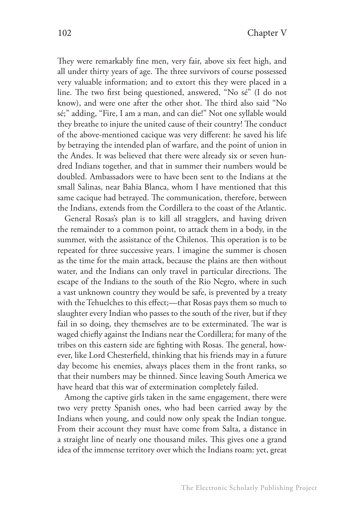They were remarkably fine men, very fair, above six feet high, and all under thirty years of age. The three survivors of course possessed very valuable information; and to extort this they were placed in a line. The two first being questioned, answered, "No sé" (I do not know), and were one after the other shot. The third also said "No sé;" adding, "Fire, I am a man, and can die!" Not one syllable would they breathe to injure the united cause of their country! The conduct of the above-mentioned cacique was very different: he saved his life by betraying the intended plan of warfare, and the point of union in the Andes. It was believed that there were already six or seven hundred Indians together, and that in summer their numbers would be doubled. Ambassadors were to have been sent to the Indians at the small Salinas, near Bahia Blanca, whom I have mentioned that this same cacique had betrayed. The communication, therefore, between the Indians, extends from the Cordillera to the coast of the Atlantic.

General Rosas's plan is to kill all stragglers, and having driven the remainder to a common point, to attack them in a body, in the summer, with the assistance of the Chilenos. This operation is to be repeated for three successive years. I imagine the summer is chosen as the time for the main attack, because the plains are then without water, and the Indians can only travel in particular directions. The escape of the Indians to the south of the Rio Negro, where in such a vast unknown country they would be safe, is prevented by a treaty with the Tehuelches to this effect;—that Rosas pays them so much to slaughter every Indian who passes to the south of the river, but if they fail in so doing, they themselves are to be exterminated. The war is waged chiefly against the Indians near the Cordillera; for many of the tribes on this eastern side are fighting with Rosas. The general, however, like Lord Chesterfield, thinking that his friends may in a future day become his enemies, always places them in the front ranks, so that their numbers may be thinned. Since leaving South America we have heard that this war of extermination completely failed.

Among the captive girls taken in the same engagement, there were two very pretty Spanish ones, who had been carried away by the Indians when young, and could now only speak the Indian tongue. From their account they must have come from Salta, a distance in a straight line of nearly one thousand miles. This gives one a grand idea of the immense territory over which the Indians roam: yet, great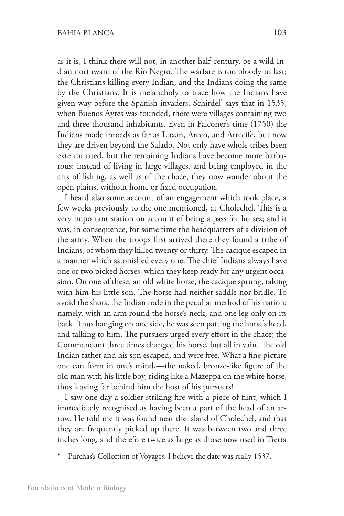as it is, I think there will not, in another half-century, be a wild Indian northward of the Rio Negro. The warfare is too bloody to last; the Christians killing every Indian, and the Indians doing the same by the Christians. It is melancholy to trace how the Indians have given way before the Spanish invaders. Schirdel\* says that in 1535, when Buenos Ayres was founded, there were villages containing two and three thousand inhabitants. Even in Falconer's time (1750) the Indians made inroads as far as Luxan, Areco, and Arrecife, but now they are driven beyond the Salado. Not only have whole tribes been exterminated, but the remaining Indians have become more barbarous: instead of living in large villages, and being employed in the arts of fishing, as well as of the chace, they now wander about the open plains, without home or fixed occupation.

I heard also some account of an engagement which took place, a few weeks previously to the one mentioned, at Cholechel. This is a very important station on account of being a pass for horses; and it was, in consequence, for some time the headquarters of a division of the army. When the troops first arrived there they found a tribe of Indians, of whom they killed twenty or thirty. The cacique escaped in a manner which astonished every one. The chief Indians always have one or two picked horses, which they keep ready for any urgent occasion. On one of these, an old white horse, the cacique sprung, taking with him his little son. The horse had neither saddle nor bridle. To avoid the shots, the Indian rode in the peculiar method of his nation; namely, with an arm round the horse's neck, and one leg only on its back. Thus hanging on one side, he was seen patting the horse's head, and talking to him. The pursuers urged every effort in the chace; the Commandant three times changed his horse, but all in vain. The old Indian father and his son escaped, and were free. What a fine picture one can form in one's mind,—the naked, bronze-like figure of the old man with his little boy, riding like a Mazeppa on the white horse, thus leaving far behind him the host of his pursuers!

I saw one day a soldier striking fire with a piece of flint, which I immediately recognised as having been a part of the head of an arrow. He told me it was found near the island of Cholechel, and that they are frequently picked up there. It was between two and three inches long, and therefore twice as large as those now used in Tierra

Purchas's Collection of Voyages. I believe the date was really 1537.